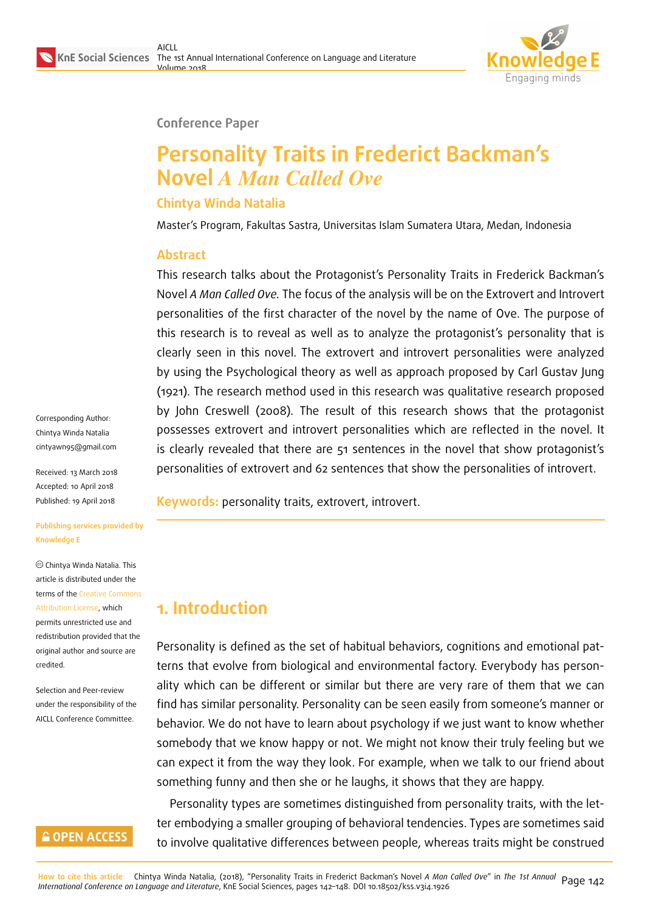

#### **Conference Paper**

# **Personality Traits in Frederict Backman's Novel** *A Man Called Ove*

#### **Chintya Winda Natalia**

Master's Program, Fakultas Sastra, Universitas Islam Sumatera Utara, Medan, Indonesia

#### **Abstract**

This research talks about the Protagonist's Personality Traits in Frederick Backman's Novel *A Man Called Ove.* The focus of the analysis will be on the Extrovert and Introvert personalities of the first character of the novel by the name of Ove. The purpose of this research is to reveal as well as to analyze the protagonist's personality that is clearly seen in this novel. The extrovert and introvert personalities were analyzed by using the Psychological theory as well as approach proposed by Carl Gustav Jung (1921). The research method used in this research was qualitative research proposed by John Creswell (2008). The result of this research shows that the protagonist possesses extrovert and introvert personalities which are reflected in the novel. It is clearly revealed that there are 51 sentences in the novel that show protagonist's personalities of extrovert and 62 sentences that show the personalities of introvert.

**Keywords:** personality traits, extrovert, introvert.

# **1. Introduction**

Personality is defined as the set of habitual behaviors, cognitions and emotional patterns that evolve from biological and environmental factory. Everybody has personality which can be different or similar but there are very rare of them that we can find has similar personality. Personality can be seen easily from someone's manner or behavior. We do not have to learn about psychology if we just want to know whether somebody that we know happy or not. We might not know their truly feeling but we can expect it from the way they look. For example, when we talk to our friend about something funny and then she or he laughs, it shows that they are happy.

Personality types are sometimes distinguished from personality traits, with the letter embodying a smaller grouping of behavioral tendencies. Types are sometimes said to involve qualitative differences between people, whereas traits might be construed

Corresponding Author: Chintya Winda Natalia cintyawn95@gmail.com

Received: 13 March 2018 Accepted: 10 April 2018 [Published: 19 April 2018](mailto:cintyawn95@gmail.com)

**Publishing services provided by Knowledge E**

Chintya Winda Natalia. This article is distributed under the terms of the Creative Commons Attribution License, which permits unrestricted use and redistribution provided that the original auth[or and source are](https://creativecommons.org/licenses/by/4.0/) [credited.](https://creativecommons.org/licenses/by/4.0/)

Selection and Peer-review under the responsibility of the AICLL Conference Committee.

### **GOPEN ACCESS**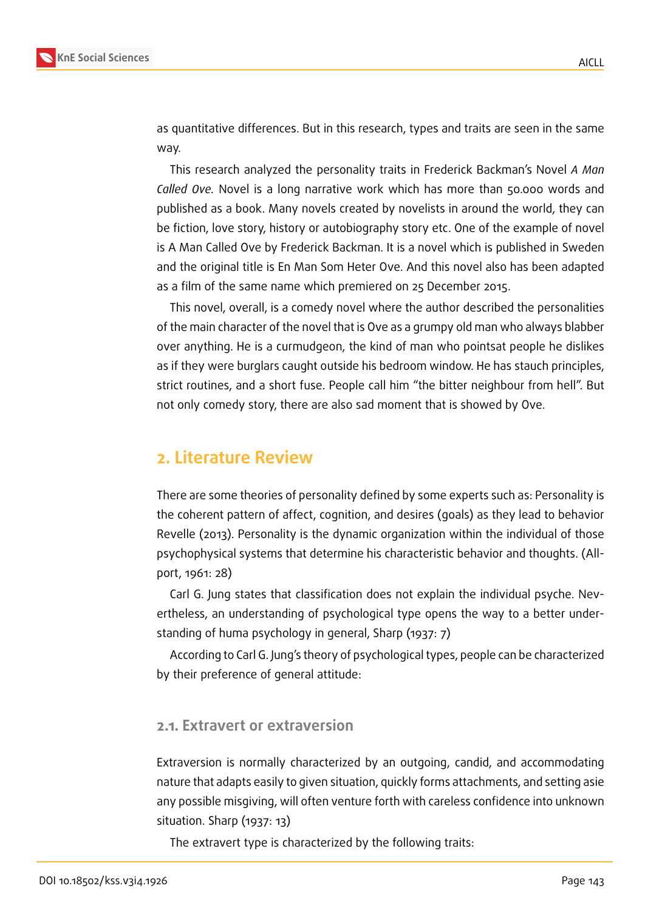

as quantitative differences. But in this research, types and traits are seen in the same way.

This research analyzed the personality traits in Frederick Backman's Novel *A Man Called Ove.* Novel is a long narrative work which has more than 50.000 words and published as a book. Many novels created by novelists in around the world, they can be fiction, love story, history or autobiography story etc. One of the example of novel is A Man Called Ove by Frederick Backman. It is a novel which is published in Sweden and the original title is En Man Som Heter Ove. And this novel also has been adapted as a film of the same name which premiered on 25 December 2015.

This novel, overall, is a comedy novel where the author described the personalities of the main character of the novel that is Ove as a grumpy old man who always blabber over anything. He is a curmudgeon, the kind of man who pointsat people he dislikes as if they were burglars caught outside his bedroom window. He has stauch principles, strict routines, and a short fuse. People call him "the bitter neighbour from hell". But not only comedy story, there are also sad moment that is showed by Ove.

### **2. Literature Review**

There are some theories of personality defined by some experts such as: Personality is the coherent pattern of affect, cognition, and desires (goals) as they lead to behavior Revelle (2013). Personality is the dynamic organization within the individual of those psychophysical systems that determine his characteristic behavior and thoughts. (Allport, 1961: 28)

Carl G. Jung states that classification does not explain the individual psyche. Nevertheless, an understanding of psychological type opens the way to a better understanding of huma psychology in general, Sharp (1937: 7)

According to Carl G. Jung's theory of psychological types, people can be characterized by their preference of general attitude:

#### **2.1. Extravert or extraversion**

Extraversion is normally characterized by an outgoing, candid, and accommodating nature that adapts easily to given situation, quickly forms attachments, and setting asie any possible misgiving, will often venture forth with careless confidence into unknown situation. Sharp (1937: 13)

The extravert type is characterized by the following traits: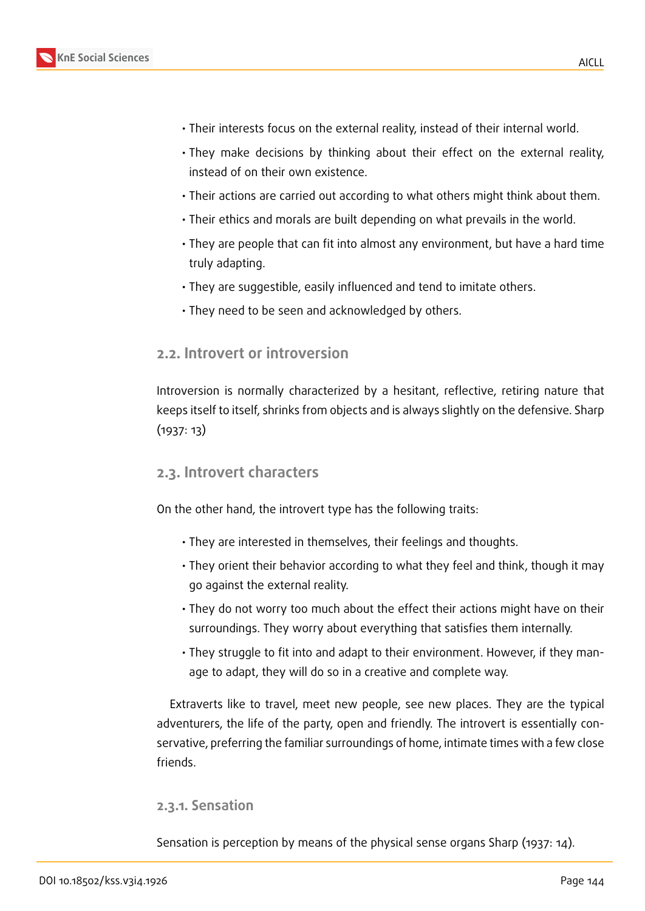



- Their interests focus on the external reality, instead of their internal world.
	- They make decisions by thinking about their effect on the external reality, instead of on their own existence.
	- Their actions are carried out according to what others might think about them.
	- Their ethics and morals are built depending on what prevails in the world.
	- They are people that can fit into almost any environment, but have a hard time truly adapting.
	- They are suggestible, easily influenced and tend to imitate others.
	- They need to be seen and acknowledged by others.

#### **2.2. Introvert or introversion**

Introversion is normally characterized by a hesitant, reflective, retiring nature that keeps itself to itself, shrinks from objects and is always slightly on the defensive. Sharp (1937: 13)

#### **2.3. Introvert characters**

On the other hand, the introvert type has the following traits:

- They are interested in themselves, their feelings and thoughts.
- They orient their behavior according to what they feel and think, though it may go against the external reality.
- They do not worry too much about the effect their actions might have on their surroundings. They worry about everything that satisfies them internally.
- They struggle to fit into and adapt to their environment. However, if they manage to adapt, they will do so in a creative and complete way.

Extraverts like to travel, meet new people, see new places. They are the typical adventurers, the life of the party, open and friendly. The introvert is essentially conservative, preferring the familiar surroundings of home, intimate times with a few close friends.

#### **2.3.1. Sensation**

Sensation is perception by means of the physical sense organs Sharp (1937: 14).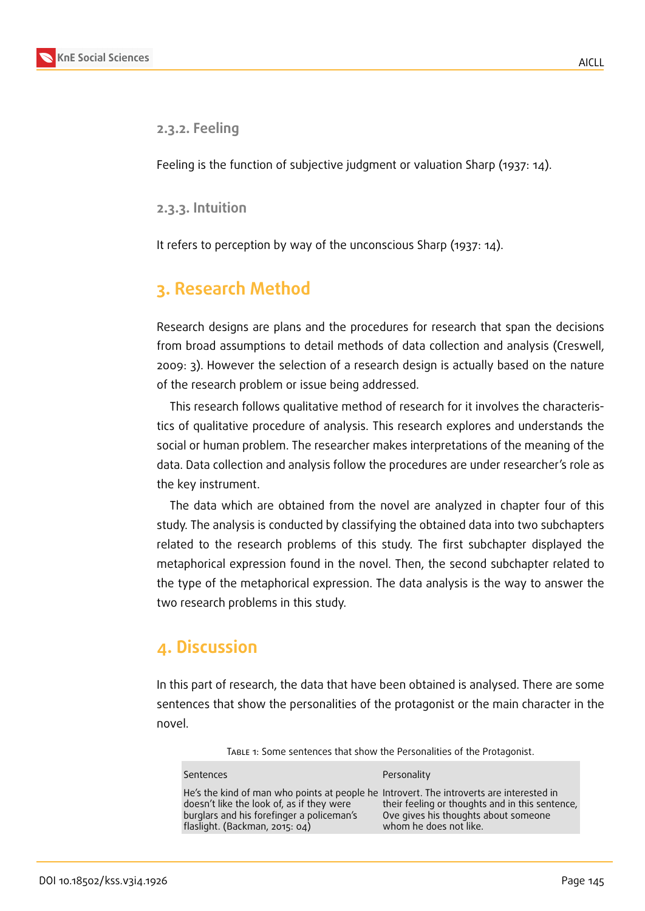

#### **2.3.2. Feeling**

Feeling is the function of subjective judgment or valuation Sharp (1937: 14).

**2.3.3. Intuition**

It refers to perception by way of the unconscious Sharp (1937: 14).

# **3. Research Method**

Research designs are plans and the procedures for research that span the decisions from broad assumptions to detail methods of data collection and analysis (Creswell, 2009: 3). However the selection of a research design is actually based on the nature of the research problem or issue being addressed.

This research follows qualitative method of research for it involves the characteristics of qualitative procedure of analysis. This research explores and understands the social or human problem. The researcher makes interpretations of the meaning of the data. Data collection and analysis follow the procedures are under researcher's role as the key instrument.

The data which are obtained from the novel are analyzed in chapter four of this study. The analysis is conducted by classifying the obtained data into two subchapters related to the research problems of this study. The first subchapter displayed the metaphorical expression found in the novel. Then, the second subchapter related to the type of the metaphorical expression. The data analysis is the way to answer the two research problems in this study.

# **4. Discussion**

In this part of research, the data that have been obtained is analysed. There are some sentences that show the personalities of the protagonist or the main character in the novel.

Table 1: Some sentences that show the Personalities of the Protagonist.

| <b>Sentences</b>                                                                                                                                                                                                     | Personality                                                                                                       |
|----------------------------------------------------------------------------------------------------------------------------------------------------------------------------------------------------------------------|-------------------------------------------------------------------------------------------------------------------|
| He's the kind of man who points at people he Introvert. The introverts are interested in<br>doesn't like the look of, as if they were<br>burglars and his forefinger a policeman's<br>flaslight. (Backman, 2015: 04) | their feeling or thoughts and in this sentence,<br>Ove gives his thoughts about someone<br>whom he does not like. |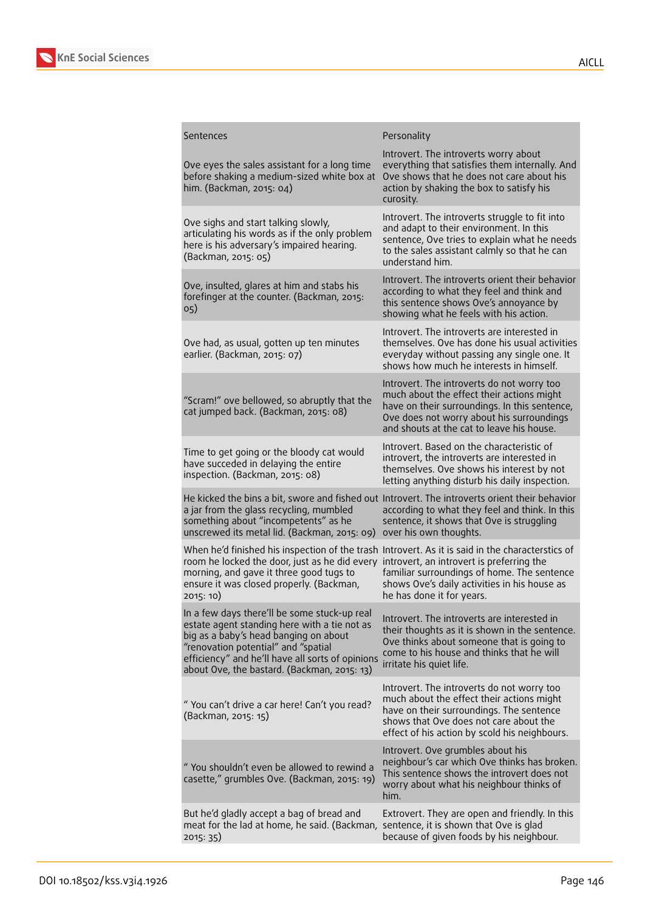

| Sentences                                                                                                                                                                                                                                                                       | Personality                                                                                                                                                                                                                        |
|---------------------------------------------------------------------------------------------------------------------------------------------------------------------------------------------------------------------------------------------------------------------------------|------------------------------------------------------------------------------------------------------------------------------------------------------------------------------------------------------------------------------------|
| Ove eyes the sales assistant for a long time<br>before shaking a medium-sized white box at<br>him. (Backman, 2015: 04)                                                                                                                                                          | Introvert. The introverts worry about<br>everything that satisfies them internally. And<br>Ove shows that he does not care about his<br>action by shaking the box to satisfy his<br>curosity.                                      |
| Ove sighs and start talking slowly,<br>articulating his words as if the only problem<br>here is his adversary's impaired hearing.<br>(Backman, 2015: 05)                                                                                                                        | Introvert. The introverts struggle to fit into<br>and adapt to their environment. In this<br>sentence, Ove tries to explain what he needs<br>to the sales assistant calmly so that he can<br>understand him.                       |
| Ove, insulted, glares at him and stabs his<br>forefinger at the counter. (Backman, 2015:<br>05)                                                                                                                                                                                 | Introvert. The introverts orient their behavior<br>according to what they feel and think and<br>this sentence shows Ove's annoyance by<br>showing what he feels with his action.                                                   |
| Ove had, as usual, gotten up ten minutes<br>earlier. (Backman, 2015: 07)                                                                                                                                                                                                        | Introvert. The introverts are interested in<br>themselves. Ove has done his usual activities<br>everyday without passing any single one. It<br>shows how much he interests in himself.                                             |
| "Scram!" ove bellowed, so abruptly that the<br>cat jumped back. (Backman, 2015: 08)                                                                                                                                                                                             | Introvert. The introverts do not worry too<br>much about the effect their actions might<br>have on their surroundings. In this sentence,<br>Ove does not worry about his surroundings<br>and shouts at the cat to leave his house. |
| Time to get going or the bloody cat would<br>have succeded in delaying the entire<br>inspection. (Backman, 2015: 08)                                                                                                                                                            | Introvert. Based on the characteristic of<br>introvert, the introverts are interested in<br>themselves. Ove shows his interest by not<br>letting anything disturb his daily inspection.                                            |
| a jar from the glass recycling, mumbled<br>something about "incompetents" as he<br>unscrewed its metal lid. (Backman, 2015: 09)                                                                                                                                                 | He kicked the bins a bit, swore and fished out Introvert. The introverts orient their behavior<br>according to what they feel and think. In this<br>sentence, it shows that Ove is struggling<br>over his own thoughts.            |
| When he'd finished his inspection of the trash Introvert. As it is said in the characterstics of<br>room he locked the door, just as he did every<br>morning, and gave it three good tugs to<br>ensure it was closed properly. (Backman,<br>2015: 10)                           | introvert, an introvert is preferring the<br>familiar surroundings of home. The sentence<br>shows Ove's daily activities in his house as<br>he has done it for years.                                                              |
| In a few days there'll be some stuck-up real<br>estate agent standing here with a tie not as<br>big as a baby's head banging on about<br>"renovation potential" and "spatial<br>efficiency" and he'll have all sorts of opinions<br>about Ove, the bastard. (Backman, 2015: 13) | Introvert. The introverts are interested in<br>their thoughts as it is shown in the sentence.<br>Ove thinks about someone that is going to<br>come to his house and thinks that he will<br>irritate his quiet life.                |
| "You can't drive a car here! Can't you read?<br>(Backman, 2015: 15)                                                                                                                                                                                                             | Introvert. The introverts do not worry too<br>much about the effect their actions might<br>have on their surroundings. The sentence<br>shows that Ove does not care about the<br>effect of his action by scold his neighbours.     |
| " You shouldn't even be allowed to rewind a<br>casette," grumbles Ove. (Backman, 2015: 19)                                                                                                                                                                                      | Introvert. Ove grumbles about his<br>neighbour's car which Ove thinks has broken.<br>This sentence shows the introvert does not<br>worry about what his neighbour thinks of<br>him.                                                |
| But he'd gladly accept a bag of bread and<br>meat for the lad at home, he said. (Backman,<br>2015: 35)                                                                                                                                                                          | Extrovert. They are open and friendly. In this<br>sentence, it is shown that Ove is glad<br>because of given foods by his neighbour.                                                                                               |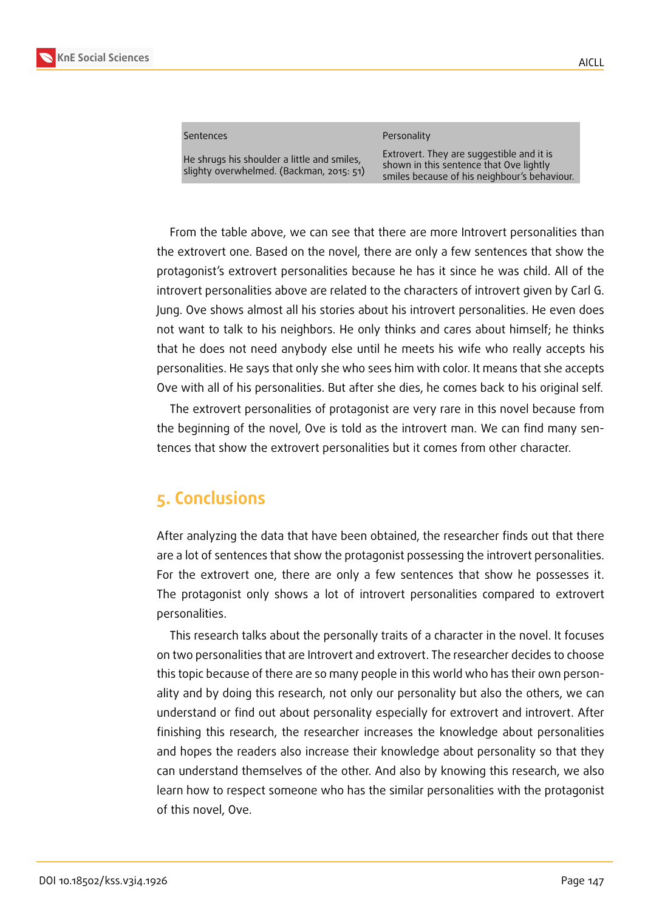

| sentences |  |
|-----------|--|
|           |  |

He shrugs his shoulder a little and smiles, slighty overwhelmed. (Backman, 2015: 51) Personality

Extrovert. They are suggestible and it is shown in this sentence that Ove lightly smiles because of his neighbour's behaviour.

From the table above, we can see that there are more Introvert personalities than the extrovert one. Based on the novel, there are only a few sentences that show the protagonist's extrovert personalities because he has it since he was child. All of the introvert personalities above are related to the characters of introvert given by Carl G. Jung. Ove shows almost all his stories about his introvert personalities. He even does not want to talk to his neighbors. He only thinks and cares about himself; he thinks that he does not need anybody else until he meets his wife who really accepts his personalities. He says that only she who sees him with color. It means that she accepts Ove with all of his personalities. But after she dies, he comes back to his original self.

The extrovert personalities of protagonist are very rare in this novel because from the beginning of the novel, Ove is told as the introvert man. We can find many sentences that show the extrovert personalities but it comes from other character.

### **5. Conclusions**

After analyzing the data that have been obtained, the researcher finds out that there are a lot of sentences that show the protagonist possessing the introvert personalities. For the extrovert one, there are only a few sentences that show he possesses it. The protagonist only shows a lot of introvert personalities compared to extrovert personalities.

This research talks about the personally traits of a character in the novel. It focuses on two personalities that are Introvert and extrovert. The researcher decides to choose this topic because of there are so many people in this world who has their own personality and by doing this research, not only our personality but also the others, we can understand or find out about personality especially for extrovert and introvert. After finishing this research, the researcher increases the knowledge about personalities and hopes the readers also increase their knowledge about personality so that they can understand themselves of the other. And also by knowing this research, we also learn how to respect someone who has the similar personalities with the protagonist of this novel, Ove.